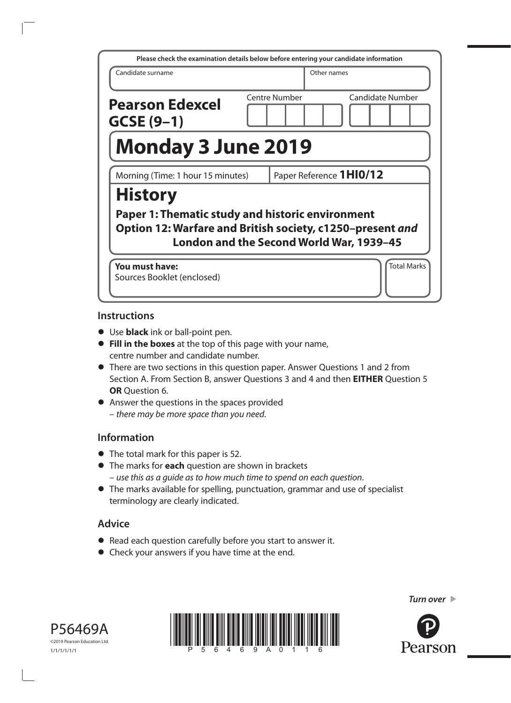| Please check the examination details below before entering your candidate information                                                                                   |  |               |                         |                         |                    |
|-------------------------------------------------------------------------------------------------------------------------------------------------------------------------|--|---------------|-------------------------|-------------------------|--------------------|
| Candidate surname                                                                                                                                                       |  |               | Other names             |                         |                    |
| <b>Pearson Edexcel</b><br>$GCSE(9-1)$                                                                                                                                   |  | Centre Number |                         | <b>Candidate Number</b> |                    |
| <b>Monday 3 June 2019</b>                                                                                                                                               |  |               |                         |                         |                    |
| Morning (Time: 1 hour 15 minutes)                                                                                                                                       |  |               | Paper Reference 1H10/12 |                         |                    |
| <b>History</b>                                                                                                                                                          |  |               |                         |                         |                    |
| <b>Paper 1: Thematic study and historic environment</b><br>Option 12: Warfare and British society, c1250-present and<br><b>London and the Second World War, 1939-45</b> |  |               |                         |                         |                    |
| You must have:<br>Sources Booklet (enclosed)                                                                                                                            |  |               |                         |                         | <b>Total Marks</b> |

# **Instructions**

- **•** Use **black** ink or ball-point pen.
- **• Fill in the boxes** at the top of this page with your name, centre number and candidate number.
- **•** There are two sections in this question paper. Answer Questions 1 and 2 from Section A. From Section B, answer Questions 3 and 4 and then **EITHER** Question 5 **OR** Question 6.
- **•** Answer the questions in the spaces provided – *there may be more space than you need*.

# **Information**

- **•** The total mark for this paper is 52.
- **•** The marks for **each** question are shown in brackets – *use this as a guide as to how much time to spend on each question*.
- **•** The marks available for spelling, punctuation, grammar and use of specialist terminology are clearly indicated.

# **Advice**

- **•** Read each question carefully before you start to answer it.
- **•** Check your answers if you have time at the end.





*Turn over* 

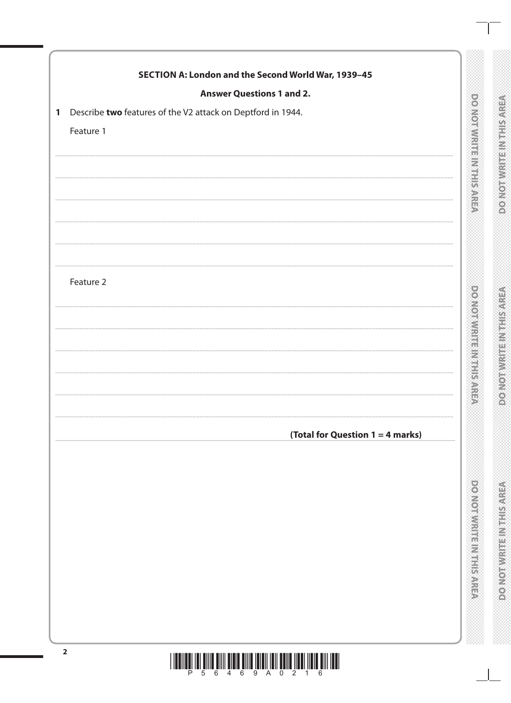| <b>Answer Questions 1 and 2.</b><br>Describe two features of the V2 attack on Deptford in 1944.<br>Feature 1 | ۵<br><b>VOID WAS LEARN FOR A 2007</b>  |
|--------------------------------------------------------------------------------------------------------------|----------------------------------------|
| Feature 2<br>(Total for Question 1 = 4 marks)                                                                | <b>DONORME SINGLE</b><br>$\frac{2}{1}$ |
|                                                                                                              | <b>DOOMOTOWREE INSTERS ARE</b>         |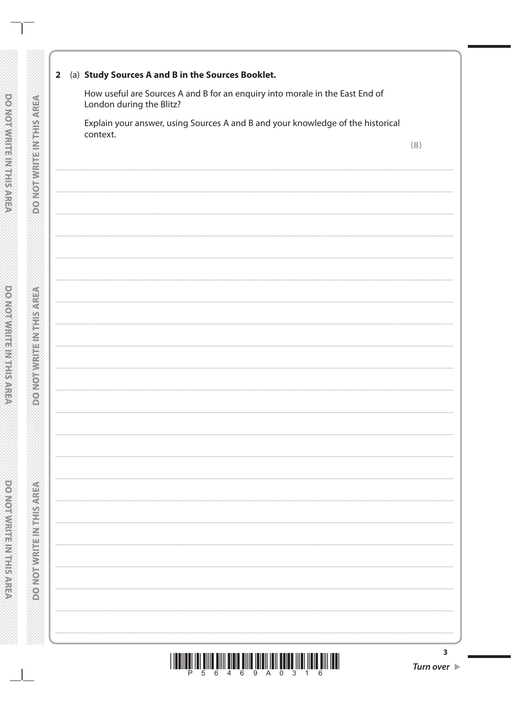|  |  |  | 2 (a) Study Sources A and B in the Sources Booklet. |  |  |  |  |
|--|--|--|-----------------------------------------------------|--|--|--|--|
|--|--|--|-----------------------------------------------------|--|--|--|--|

How useful are Sources A and B for an enquiry into morale in the East End of London during the Blitz?

Explain your answer, using Sources A and B and your knowledge of the historical context

| 3   |
|-----|
|     |
|     |
|     |
|     |
|     |
|     |
|     |
|     |
|     |
|     |
|     |
|     |
|     |
|     |
|     |
|     |
|     |
|     |
|     |
|     |
|     |
|     |
|     |
|     |
|     |
|     |
|     |
|     |
|     |
|     |
|     |
|     |
| (8) |

**DO NOTWRITEINITE SAFE**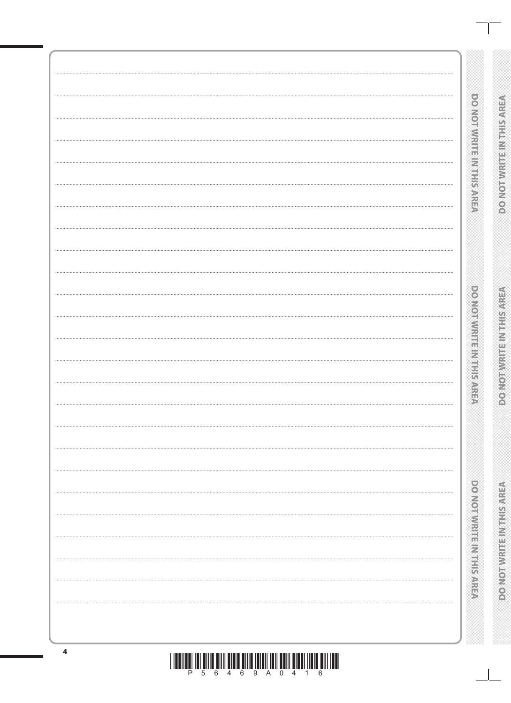| <u>i indirah iai diin diin bidio diin totan tah dahi dibat ilala diil id</u> |  |  |  |  |  |  |
|------------------------------------------------------------------------------|--|--|--|--|--|--|
|                                                                              |  |  |  |  |  |  |

|   |  | <b>PONOIANTE EN PERSONAL</b>    |
|---|--|---------------------------------|
|   |  |                                 |
|   |  |                                 |
|   |  |                                 |
|   |  |                                 |
|   |  |                                 |
|   |  |                                 |
|   |  |                                 |
|   |  |                                 |
|   |  |                                 |
|   |  |                                 |
|   |  |                                 |
|   |  |                                 |
|   |  |                                 |
|   |  |                                 |
|   |  |                                 |
|   |  |                                 |
|   |  | <b>PONONE REPORT</b>            |
|   |  |                                 |
|   |  |                                 |
|   |  |                                 |
|   |  |                                 |
|   |  |                                 |
|   |  |                                 |
|   |  |                                 |
|   |  |                                 |
|   |  |                                 |
|   |  |                                 |
|   |  |                                 |
|   |  |                                 |
|   |  |                                 |
|   |  |                                 |
|   |  | position with the manufacturers |
|   |  |                                 |
|   |  |                                 |
|   |  |                                 |
|   |  |                                 |
| 4 |  |                                 |

Ξ

**DONOTWRITEINTHSAREA** 

**ASSIMISSIMES IN THE VIOLE** 

**DO NOT WRITEIN THIS AREA**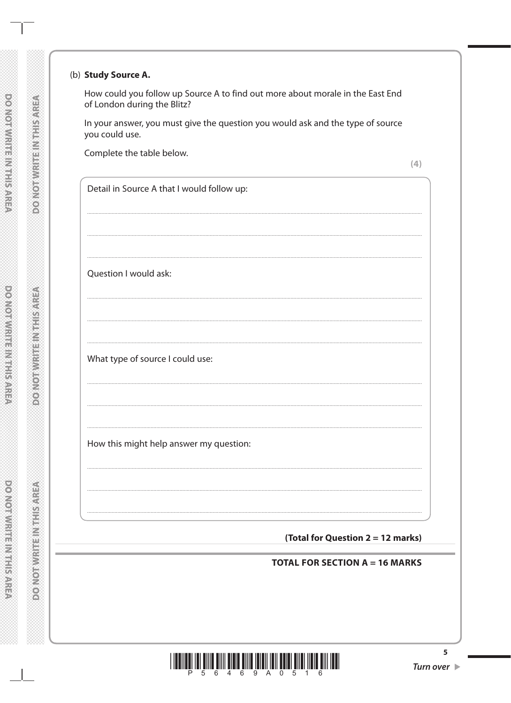## (b) Study Source A.

How could you follow up Source A to find out more about morale in the East End of London during the Blitz?

In your answer, you must give the question you would ask and the type of source you could use.

Complete the table below.

 $(4)$ 

|                                         | (Total for Question 2 = 12 marks) |
|-----------------------------------------|-----------------------------------|
|                                         |                                   |
|                                         |                                   |
|                                         |                                   |
| How this might help answer my question: |                                   |
|                                         |                                   |
|                                         |                                   |
| What type of source I could use:        |                                   |
|                                         |                                   |
|                                         |                                   |
|                                         |                                   |
| Question I would ask:                   |                                   |
|                                         |                                   |



5

**DO NOTWRITEINITE SAFE** 

**CENTRAL PRODUCTIONS OF PRODUCT** 

**DO NOT WRITE/NATHS/AREA**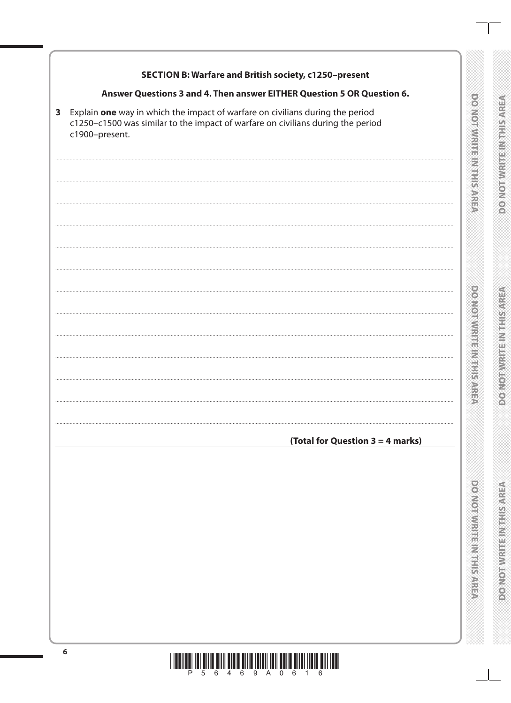| SECTION B: Warfare and British society, c1250-present<br>Answer Questions 3 and 4. Then answer EITHER Question 5 OR Question 6.                                  |
|------------------------------------------------------------------------------------------------------------------------------------------------------------------|
|                                                                                                                                                                  |
| Explain one way in which the impact of warfare on civilians during the period<br>c1250-c1500 was similar to the impact of warfare on civilians during the period |
| c1900-present.                                                                                                                                                   |
|                                                                                                                                                                  |
|                                                                                                                                                                  |
|                                                                                                                                                                  |
|                                                                                                                                                                  |
|                                                                                                                                                                  |
|                                                                                                                                                                  |
|                                                                                                                                                                  |
|                                                                                                                                                                  |
|                                                                                                                                                                  |
|                                                                                                                                                                  |
|                                                                                                                                                                  |
|                                                                                                                                                                  |
|                                                                                                                                                                  |
|                                                                                                                                                                  |
| (Total for Question 3 = 4 marks)                                                                                                                                 |
|                                                                                                                                                                  |
|                                                                                                                                                                  |
|                                                                                                                                                                  |
|                                                                                                                                                                  |
|                                                                                                                                                                  |
|                                                                                                                                                                  |
|                                                                                                                                                                  |
|                                                                                                                                                                  |
|                                                                                                                                                                  |
|                                                                                                                                                                  |
|                                                                                                                                                                  |

**PONOT WRITE INTHIS AREA** 

**XXXXX** 

**PONOTWRITEINTEISAREA** 

**PONOTWEITHNTHSAREA**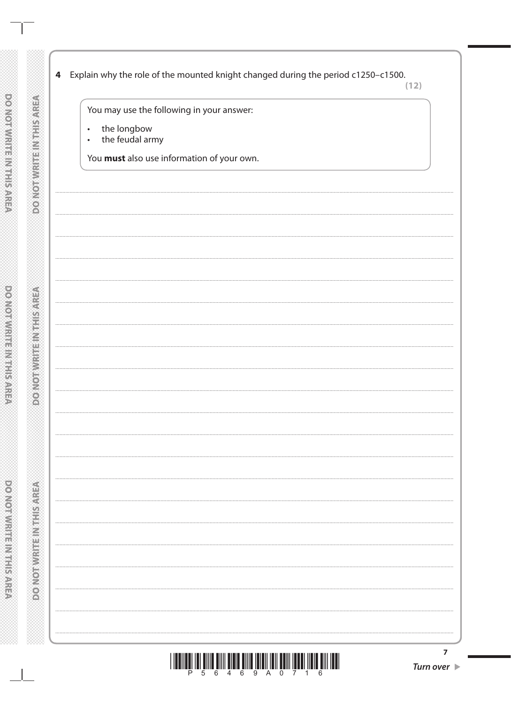| 4 Explain why the role of the mounted knight changed during the period c1250–c1500. |  |
|-------------------------------------------------------------------------------------|--|
|                                                                                     |  |

 $(12)$ 

You may use the following in your answer:

- the longbow  $\bullet$
- the feudal army  $\bullet$

You must also use information of your own.

**CERNAL MARKET CONCO** 

**DOMOTIVARE INSTITUCION** 

| I ITALIA DI TALIF DIN BIDI DI BILI DI BILI DI BILI DOMENI ILI DI BILI ILI |  |  |  |  |  |  |
|---------------------------------------------------------------------------|--|--|--|--|--|--|
|                                                                           |  |  |  |  |  |  |

**DOMOTWRITEIN THIS AREA** 

**DO NOTWRITEINITE SARE**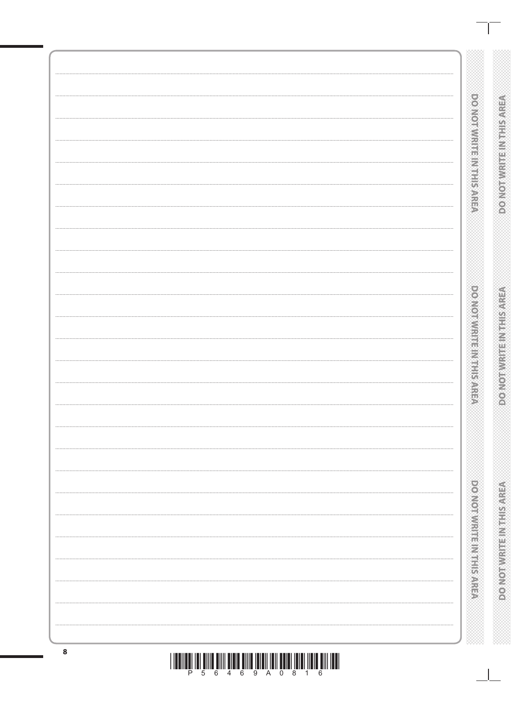|  | 8<br>и |  |
|--|--------|--|

| <b>PONDERN ENGINEERING</b>      |
|---------------------------------|
|                                 |
|                                 |
|                                 |
|                                 |
|                                 |
|                                 |
|                                 |
|                                 |
|                                 |
|                                 |
|                                 |
|                                 |
|                                 |
|                                 |
|                                 |
|                                 |
|                                 |
|                                 |
|                                 |
|                                 |
|                                 |
|                                 |
|                                 |
| <b>POSTER AND RESIDENCE</b>     |
|                                 |
|                                 |
|                                 |
| 贝                               |
| ь                               |
|                                 |
|                                 |
|                                 |
|                                 |
|                                 |
|                                 |
|                                 |
|                                 |
|                                 |
|                                 |
|                                 |
|                                 |
| professional state of the state |
|                                 |
|                                 |
|                                 |
|                                 |
|                                 |
|                                 |
|                                 |
|                                 |
|                                 |
|                                 |
|                                 |

T

**DONOTWRITEINTHSAREA** 

**ASSIMISSIMES IN THE VIOLE** 

**DO NOT WRITEIN THIS AREA**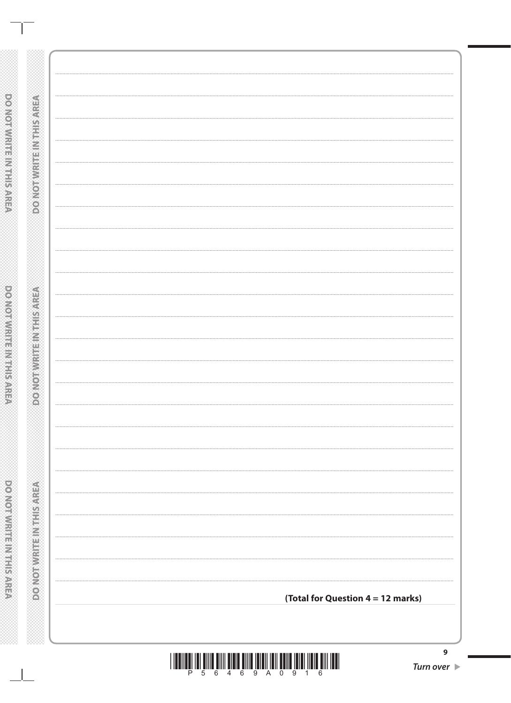| <b>DOMOTWRITEINIERSKRE</b>      | METHANNONO                         | <br><br>(Total for Question 4 = 12 marks) |
|---------------------------------|------------------------------------|-------------------------------------------|
|                                 |                                    |                                           |
| <b>DOMORAL REPORTS NEWSFILE</b> | <b>RELEASED</b>                    |                                           |
| o Monumental Care               | ú<br>F<br>é<br><b>BOONOTAWRITE</b> |                                           |

 $\overline{\phantom{a}}$ 

 $\Box$ 



 $\overline{9}$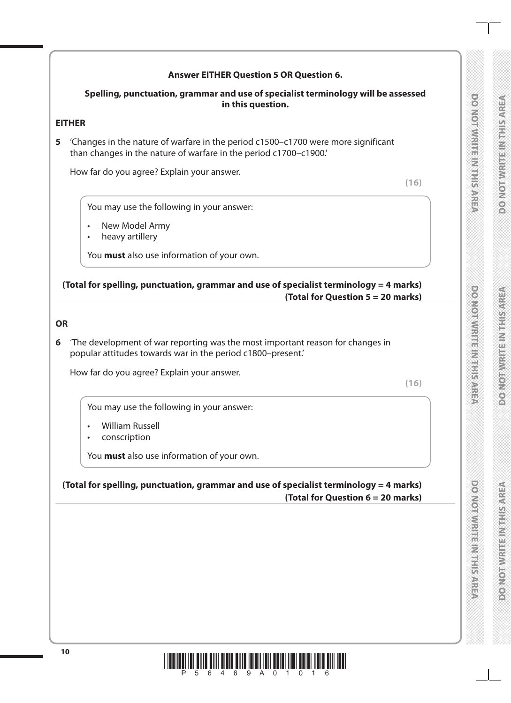# **RESING IF IN THE PIRTUAL ORIGINAL**

**DONOLOGIC INTERNATIONAL PROPERTY** 

**PORTOR WEBSTERS** 

**DOMOROWING** 

**Designation of the state of School** 

# **Answer EITHER Question 5 OR Question 6.**

# **Spelling, punctuation, grammar and use of specialist terminology will be assessed in this question.**

# **EITHER**

**5** 'Changes in the nature of warfare in the period c1500–c1700 were more significant than changes in the nature of warfare in the period c1700–c1900.'

How far do you agree? Explain your answer.

**(16)**

You may use the following in your answer:

New Model Army

heavy artillery

You **must** also use information of your own.

**(Total for spelling, punctuation, grammar and use of specialist terminology = 4 marks) (Total for Question 5 = 20 marks)**

# **OR**

**6** 'The development of war reporting was the most important reason for changes in popular attitudes towards war in the period c1800–present.'

How far do you agree? Explain your answer.

**(16)**

You may use the following in your answer:

- William Russell
- conscription

You **must** also use information of your own.

**(Total for spelling, punctuation, grammar and use of specialist terminology = 4 marks) (Total for Question 6 = 20 marks)**

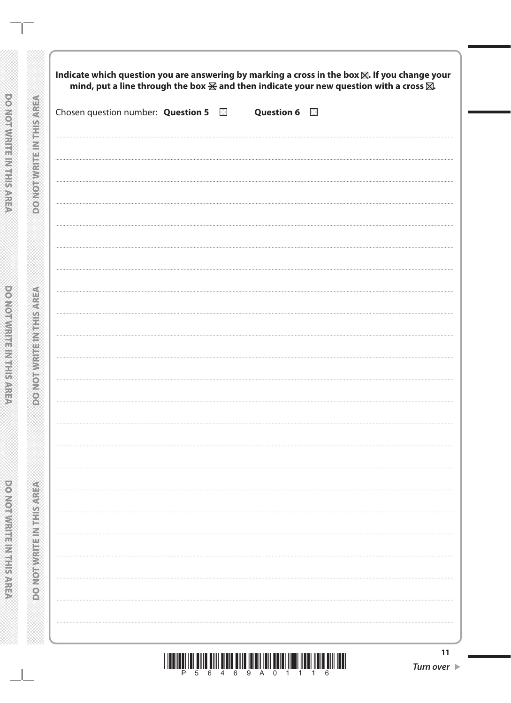|                                                                       |  | mind, put a line through the box $\boxtimes$ and then indicate your new question with a cross $\boxtimes$ . |  |
|-----------------------------------------------------------------------|--|-------------------------------------------------------------------------------------------------------------|--|
| Chosen question number: Question 5 $\boxtimes$ Question 6 $\boxtimes$ |  |                                                                                                             |  |
|                                                                       |  |                                                                                                             |  |
|                                                                       |  |                                                                                                             |  |
|                                                                       |  |                                                                                                             |  |
|                                                                       |  |                                                                                                             |  |
|                                                                       |  |                                                                                                             |  |
|                                                                       |  |                                                                                                             |  |
|                                                                       |  |                                                                                                             |  |
|                                                                       |  |                                                                                                             |  |
|                                                                       |  |                                                                                                             |  |
|                                                                       |  |                                                                                                             |  |
|                                                                       |  |                                                                                                             |  |
|                                                                       |  |                                                                                                             |  |
|                                                                       |  |                                                                                                             |  |
|                                                                       |  |                                                                                                             |  |
|                                                                       |  |                                                                                                             |  |
|                                                                       |  |                                                                                                             |  |
|                                                                       |  |                                                                                                             |  |
|                                                                       |  |                                                                                                             |  |
|                                                                       |  |                                                                                                             |  |

**DO NOTWRITEIN THIS AREA** 

**DO MOTIVITIE INTERNATION** 

**DO NOT WRITEINITHIS AREA**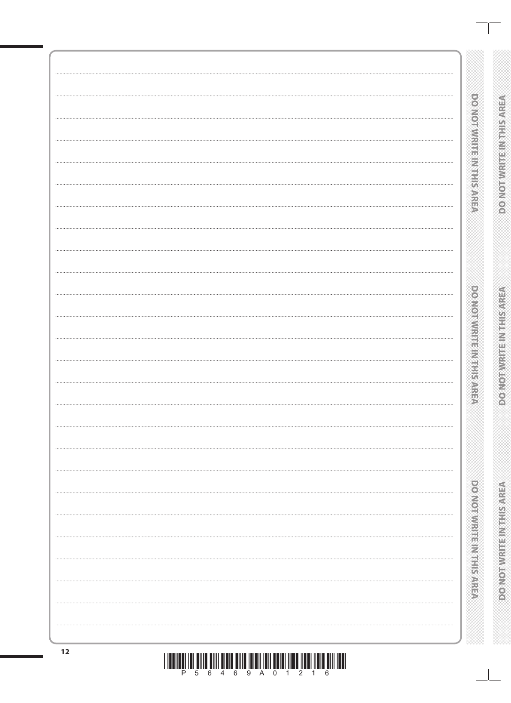|    |                |  | <b>PONO NEW PROTECTIONS</b>           | 法国家                |
|----|----------------|--|---------------------------------------|--------------------|
|    |                |  |                                       | SA<br>F            |
|    |                |  |                                       | <b>MOTHUMATION</b> |
|    |                |  |                                       |                    |
|    |                |  |                                       | ğ                  |
|    |                |  |                                       |                    |
|    |                |  |                                       |                    |
|    |                |  |                                       |                    |
|    |                |  |                                       |                    |
|    |                |  |                                       | Ň,                 |
|    |                |  |                                       | Ž                  |
|    |                |  |                                       |                    |
|    |                |  | <b>PONOBRITISH SHARES ARE</b>         | $\frac{1}{2}$      |
|    |                |  |                                       | ۵                  |
|    |                |  |                                       |                    |
|    |                |  |                                       |                    |
|    |                |  |                                       |                    |
|    |                |  |                                       | 医脑室                |
|    |                |  |                                       | V)                 |
|    |                |  |                                       | Ŧ<br>Z             |
|    |                |  | pleasure in the state of the state of | m                  |
|    |                |  |                                       | <b>CONT</b>        |
|    |                |  |                                       | Õ<br>Ø             |
|    |                |  |                                       |                    |
|    |                |  |                                       |                    |
| 12 | $\overline{2}$ |  |                                       |                    |

XXX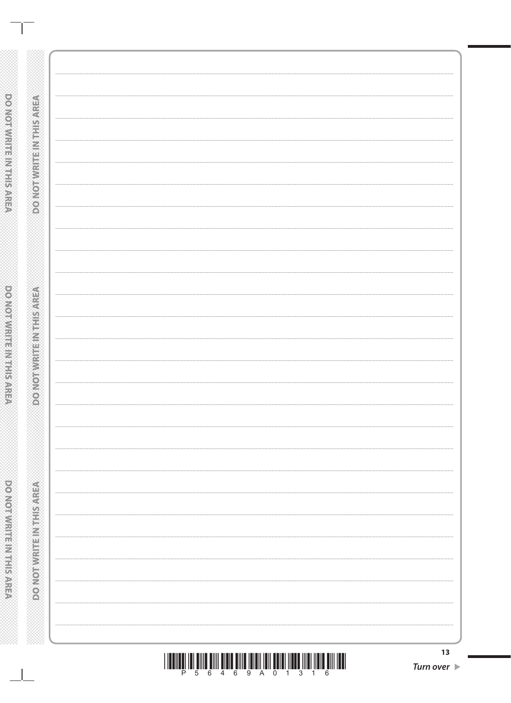a ka

DO NOTWRITE IN THIS AREA

**DOOMORDIE MATERIALS AREA** 

DO NOT WRITEIN THIS AREA

 $\Box$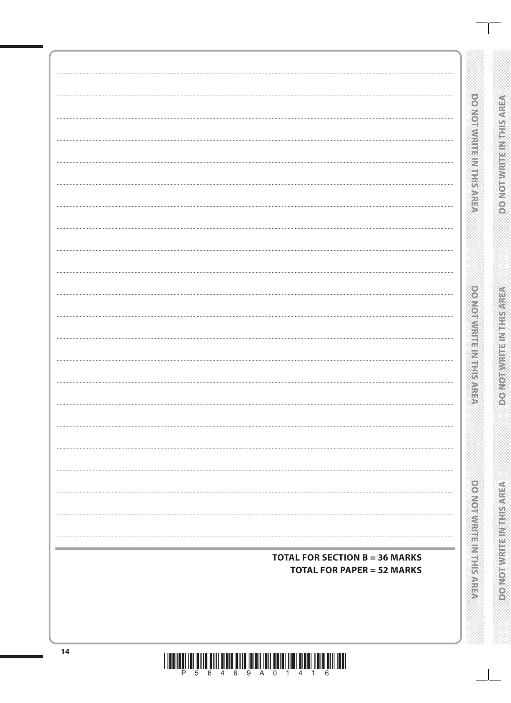| š      |  |                         |     |               |   |  |
|--------|--|-------------------------|-----|---------------|---|--|
|        |  |                         |     |               |   |  |
|        |  |                         |     |               |   |  |
| i<br>< |  |                         |     |               |   |  |
|        |  |                         | Œ   |               |   |  |
|        |  |                         |     |               |   |  |
|        |  |                         |     |               |   |  |
|        |  |                         |     |               |   |  |
|        |  |                         |     |               |   |  |
|        |  |                         |     |               |   |  |
|        |  |                         |     |               |   |  |
|        |  |                         |     |               |   |  |
|        |  |                         |     | $\frac{1}{2}$ |   |  |
|        |  |                         |     |               |   |  |
|        |  | 人名英格兰人姓氏<br>∑<br>Distri |     |               | í |  |
|        |  |                         |     |               |   |  |
|        |  |                         |     | ì             |   |  |
|        |  |                         |     |               |   |  |
|        |  |                         |     |               |   |  |
|        |  |                         |     |               |   |  |
|        |  |                         |     | ×.            |   |  |
|        |  |                         |     |               |   |  |
|        |  |                         |     |               |   |  |
|        |  |                         |     |               |   |  |
|        |  |                         |     |               |   |  |
|        |  |                         |     |               |   |  |
|        |  |                         |     |               |   |  |
|        |  |                         |     |               |   |  |
|        |  |                         |     |               |   |  |
|        |  |                         | 「帝国 |               |   |  |
|        |  |                         |     |               | í |  |
|        |  |                         |     |               |   |  |
|        |  |                         |     |               |   |  |
|        |  |                         |     |               |   |  |
|        |  |                         |     |               |   |  |
|        |  |                         |     |               |   |  |
|        |  |                         |     |               |   |  |
|        |  |                         |     |               |   |  |
|        |  |                         |     |               |   |  |
|        |  |                         |     |               |   |  |
|        |  |                         |     |               |   |  |
|        |  |                         |     |               |   |  |
|        |  |                         |     |               |   |  |
|        |  |                         |     |               |   |  |
|        |  |                         |     |               |   |  |
|        |  |                         |     |               |   |  |
|        |  |                         |     |               |   |  |
|        |  |                         |     | ı             |   |  |
|        |  |                         |     |               |   |  |
|        |  |                         |     |               |   |  |
|        |  |                         |     |               |   |  |
|        |  |                         |     |               |   |  |
|        |  |                         | é   |               |   |  |
|        |  |                         |     | ė             |   |  |
|        |  |                         |     |               |   |  |
|        |  |                         |     |               |   |  |
|        |  |                         |     |               |   |  |
|        |  |                         |     |               |   |  |
|        |  |                         |     |               |   |  |
|        |  |                         |     |               |   |  |
|        |  |                         |     |               |   |  |
|        |  |                         |     |               |   |  |
|        |  |                         |     |               |   |  |
|        |  |                         |     |               |   |  |
|        |  |                         |     |               |   |  |
|        |  |                         |     |               |   |  |
|        |  |                         |     |               |   |  |
|        |  |                         |     |               |   |  |
|        |  |                         |     |               |   |  |
|        |  |                         |     |               |   |  |
|        |  |                         |     |               |   |  |
|        |  |                         |     |               |   |  |
|        |  |                         |     |               |   |  |
|        |  |                         |     |               |   |  |
|        |  |                         |     |               |   |  |
|        |  |                         |     |               |   |  |
|        |  |                         |     |               |   |  |
|        |  |                         |     |               |   |  |

DOMOTWRITE MITHIS AREA

DO NOTWRITE IN THIS AREA

DONOTWRITEINTHISAREA

**TOTAL FOR SECTION B = 36 MARKS TOTAL FOR PAPER = 52 MARKS** 

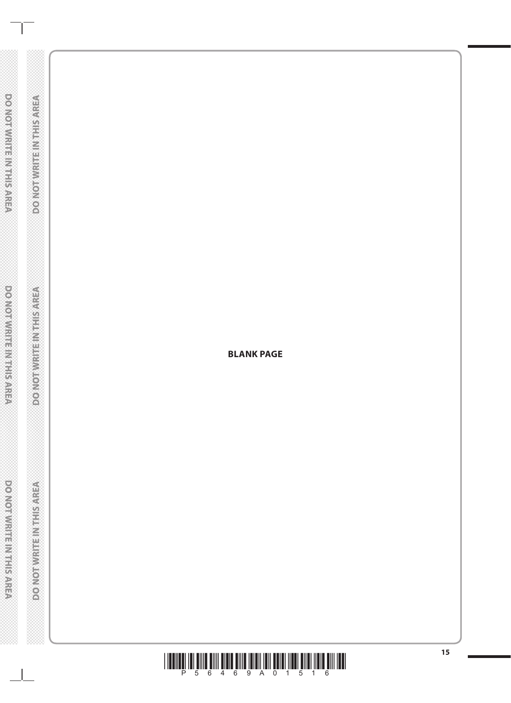$\sim 1$ 

**DO NOTWARE INTHIS AREA** 

**DO NOTAVATE INTERVERS** 

DO NOT WRITE IN THIS AREA

**BLANK PAGE**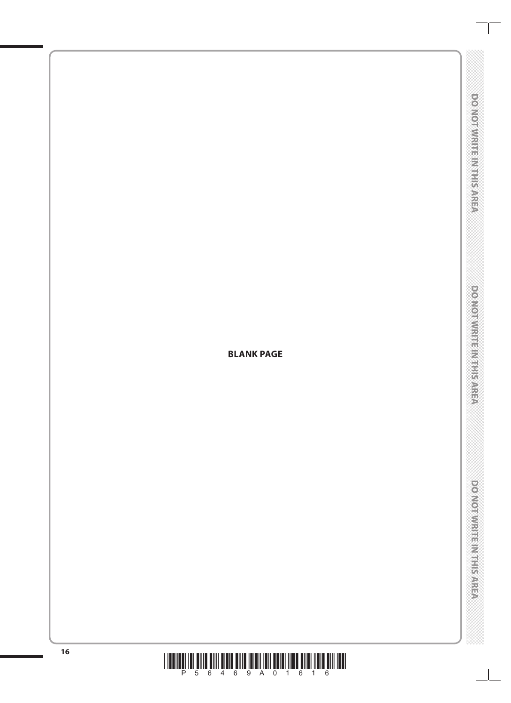# $\begin{array}{c} \vspace{2mm} \begin{array}{c} \vspace{2mm} \begin{array}{c} \vspace{2mm} \end{array} \\ \vspace{2mm} \end{array} \\ \vspace{2mm} \begin{array}{c} \vspace{2mm} \begin{array}{c} \vspace{2mm} \end{array} \\ \vspace{2mm} \end{array} \\ \vspace{2mm} \begin{array}{c} \vspace{2mm} \begin{array}{c} \vspace{2mm} \end{array} \\ \vspace{2mm} \end{array} \\ \vspace{2mm} \begin{array}{c} \vspace{2mm} \begin{array}{c} \vspace{2mm} \end{array} \\ \vspace{2mm} \end{$

DONOTWRITE IN THIS AREA

# **BLANK PAGE**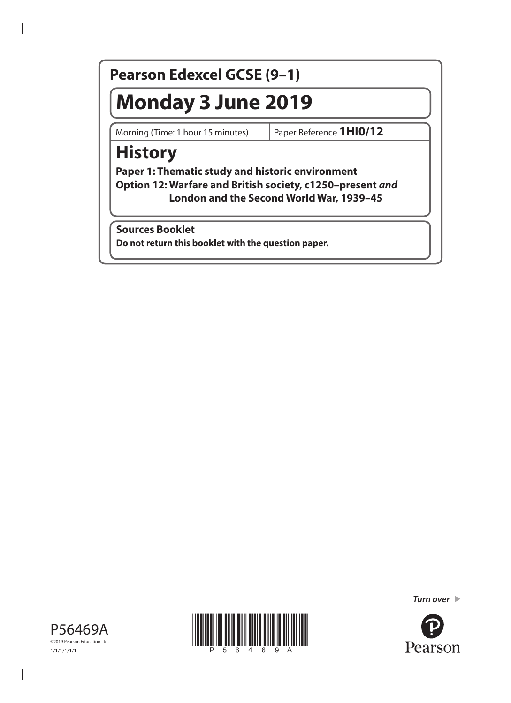# **Pearson Edexcel GCSE (9–1)**

# **Monday 3 June 2019**

Morning (Time: 1 hour 15 minutes) Paper Reference **1HI0/12**

# **History**

**Paper 1: Thematic study and historic environment Option 12: Warfare and British society, c1250–present** *and* **London and the Second World War, 1939–45**

**Sources Booklet**

**Do not return this booklet with the question paper.**







*Turn over*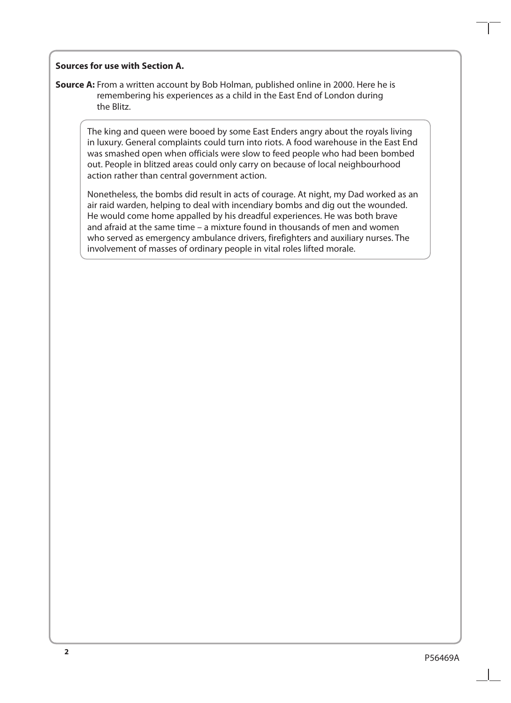## **Sources for use with Section A.**

**Source A:** From a written account by Bob Holman, published online in 2000. Here he is remembering his experiences as a child in the East End of London during the Blitz.

The king and queen were booed by some East Enders angry about the royals living in luxury. General complaints could turn into riots. A food warehouse in the East End was smashed open when officials were slow to feed people who had been bombed out. People in blitzed areas could only carry on because of local neighbourhood action rather than central government action.

Nonetheless, the bombs did result in acts of courage. At night, my Dad worked as an air raid warden, helping to deal with incendiary bombs and dig out the wounded. He would come home appalled by his dreadful experiences. He was both brave and afraid at the same time – a mixture found in thousands of men and women who served as emergency ambulance drivers, firefighters and auxiliary nurses. The involvement of masses of ordinary people in vital roles lifted morale.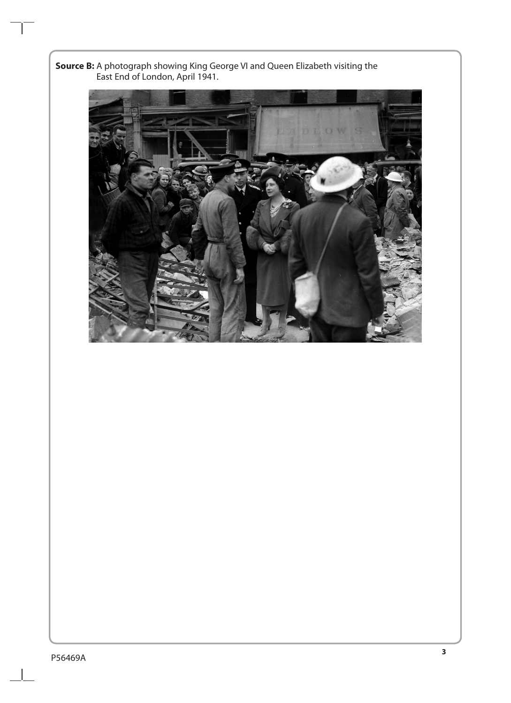**Source B:** A photograph showing King George VI and Queen Elizabeth visiting the East End of London, April 1941.